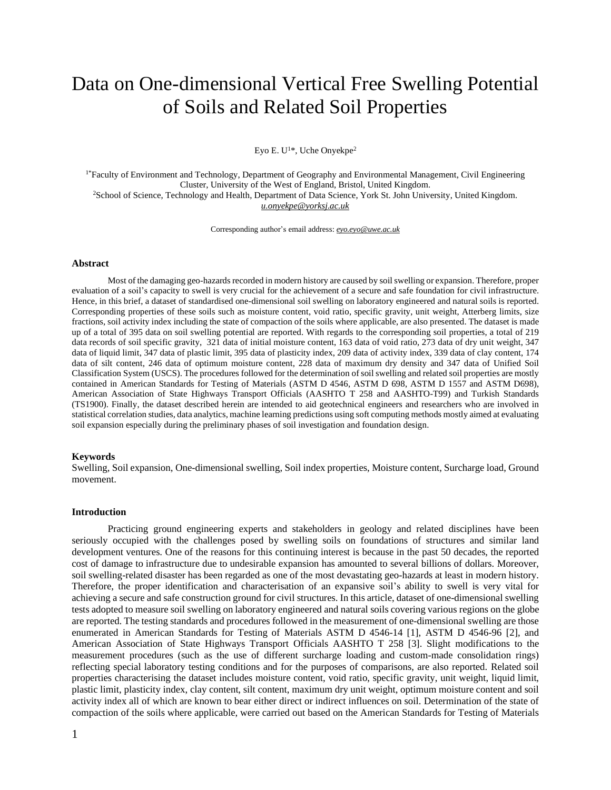# Data on One-dimensional Vertical Free Swelling Potential of Soils and Related Soil Properties

Eyo E.  $U^{1*}$ , Uche Onyekpe<sup>2</sup>

 $1*$ Faculty of Environment and Technology, Department of Geography and Environmental Management, Civil Engineering Cluster, University of the West of England, Bristol, United Kingdom. <sup>2</sup>School of Science, Technology and Health, Department of Data Science, York St. John University, United Kingdom. *[u.onyekpe@yorksj.ac.uk](mailto:u.onyekpe@yorksj.ac.uk)*

Corresponding author's email address: *[eyo.eyo@uwe.ac.uk](mailto:eyo.eyo@uwe.ac.uk)*

#### **Abstract**

Most of the damaging geo-hazards recorded in modern history are caused by soil swelling or expansion. Therefore, proper evaluation of a soil's capacity to swell is very crucial for the achievement of a secure and safe foundation for civil infrastructure. Hence, in this brief, a dataset of standardised one-dimensional soil swelling on laboratory engineered and natural soils is reported. Corresponding properties of these soils such as moisture content, void ratio, specific gravity, unit weight, Atterberg limits, size fractions, soil activity index including the state of compaction of the soils where applicable, are also presented. The dataset is made up of a total of 395 data on soil swelling potential are reported. With regards to the corresponding soil properties, a total of 219 data records of soil specific gravity, 321 data of initial moisture content, 163 data of void ratio, 273 data of dry unit weight, 347 data of liquid limit, 347 data of plastic limit, 395 data of plasticity index, 209 data of activity index, 339 data of clay content, 174 data of silt content, 246 data of optimum moisture content, 228 data of maximum dry density and 347 data of Unified Soil Classification System (USCS). The procedures followed for the determination ofsoilswelling and related soil properties are mostly contained in American Standards for Testing of Materials (ASTM D 4546, ASTM D 698, ASTM D 1557 and ASTM D698), American Association of State Highways Transport Officials (AASHTO T 258 and AASHTO-T99) and Turkish Standards (TS1900). Finally, the dataset described herein are intended to aid geotechnical engineers and researchers who are involved in statistical correlation studies, data analytics, machine learning predictions using soft computing methods mostly aimed at evaluating soil expansion especially during the preliminary phases of soil investigation and foundation design.

#### **Keywords**

Swelling, Soil expansion, One-dimensional swelling, Soil index properties, Moisture content, Surcharge load, Ground movement.

#### **Introduction**

Practicing ground engineering experts and stakeholders in geology and related disciplines have been seriously occupied with the challenges posed by swelling soils on foundations of structures and similar land development ventures. One of the reasons for this continuing interest is because in the past 50 decades, the reported cost of damage to infrastructure due to undesirable expansion has amounted to several billions of dollars. Moreover, soil swelling-related disaster has been regarded as one of the most devastating geo-hazards at least in modern history. Therefore, the proper identification and characterisation of an expansive soil's ability to swell is very vital for achieving a secure and safe construction ground for civil structures. In this article, dataset of one-dimensional swelling tests adopted to measure soil swelling on laboratory engineered and natural soils covering various regions on the globe are reported. The testing standards and procedures followed in the measurement of one-dimensional swelling are those enumerated in American Standards for Testing of Materials ASTM D 4546-14 [1], ASTM D 4546-96 [2], and American Association of State Highways Transport Officials AASHTO T 258 [3]. Slight modifications to the measurement procedures (such as the use of different surcharge loading and custom-made consolidation rings) reflecting special laboratory testing conditions and for the purposes of comparisons, are also reported. Related soil properties characterising the dataset includes moisture content, void ratio, specific gravity, unit weight, liquid limit, plastic limit, plasticity index, clay content, silt content, maximum dry unit weight, optimum moisture content and soil activity index all of which are known to bear either direct or indirect influences on soil. Determination of the state of compaction of the soils where applicable, were carried out based on the American Standards for Testing of Materials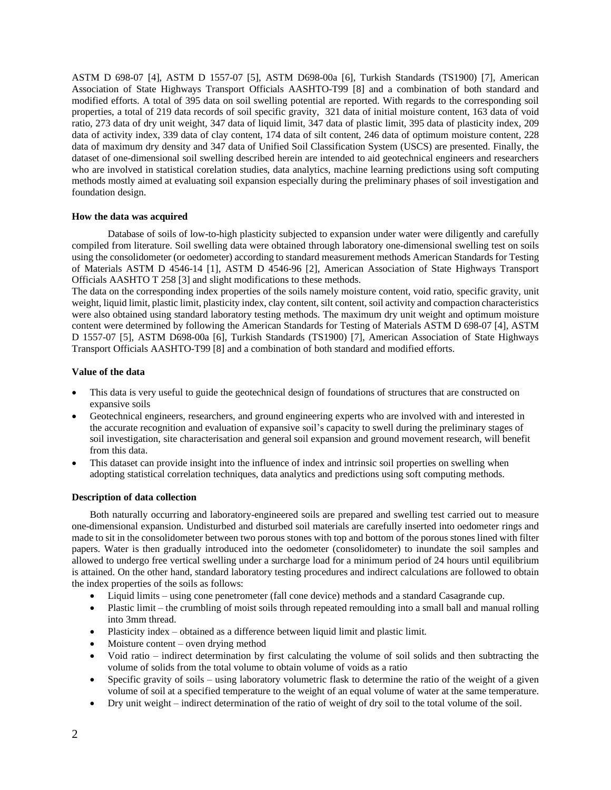ASTM D 698-07 [4], ASTM D 1557-07 [5], ASTM D698-00a [6], Turkish Standards (TS1900) [7], American Association of State Highways Transport Officials AASHTO-T99 [8] and a combination of both standard and modified efforts. A total of 395 data on soil swelling potential are reported. With regards to the corresponding soil properties, a total of 219 data records of soil specific gravity, 321 data of initial moisture content, 163 data of void ratio, 273 data of dry unit weight, 347 data of liquid limit, 347 data of plastic limit, 395 data of plasticity index, 209 data of activity index, 339 data of clay content, 174 data of silt content, 246 data of optimum moisture content, 228 data of maximum dry density and 347 data of Unified Soil Classification System (USCS) are presented. Finally, the dataset of one-dimensional soil swelling described herein are intended to aid geotechnical engineers and researchers who are involved in statistical corelation studies, data analytics, machine learning predictions using soft computing methods mostly aimed at evaluating soil expansion especially during the preliminary phases of soil investigation and foundation design.

# **How the data was acquired**

Database of soils of low-to-high plasticity subjected to expansion under water were diligently and carefully compiled from literature. Soil swelling data were obtained through laboratory one-dimensional swelling test on soils using the consolidometer (or oedometer) according to standard measurement methods American Standards for Testing of Materials ASTM D 4546-14 [1], ASTM D 4546-96 [2], American Association of State Highways Transport Officials AASHTO T 258 [3] and slight modifications to these methods.

The data on the corresponding index properties of the soils namely moisture content, void ratio, specific gravity, unit weight, liquid limit, plastic limit, plasticity index, clay content, silt content, soil activity and compaction characteristics were also obtained using standard laboratory testing methods. The maximum dry unit weight and optimum moisture content were determined by following the American Standards for Testing of Materials ASTM D 698-07 [4], ASTM D 1557-07 [5], ASTM D698-00a [6], Turkish Standards (TS1900) [7], American Association of State Highways Transport Officials AASHTO-T99 [8] and a combination of both standard and modified efforts.

# **Value of the data**

- This data is very useful to guide the geotechnical design of foundations of structures that are constructed on expansive soils
- Geotechnical engineers, researchers, and ground engineering experts who are involved with and interested in the accurate recognition and evaluation of expansive soil's capacity to swell during the preliminary stages of soil investigation, site characterisation and general soil expansion and ground movement research, will benefit from this data.
- This dataset can provide insight into the influence of index and intrinsic soil properties on swelling when adopting statistical correlation techniques, data analytics and predictions using soft computing methods.

## **Description of data collection**

Both naturally occurring and laboratory-engineered soils are prepared and swelling test carried out to measure one-dimensional expansion. Undisturbed and disturbed soil materials are carefully inserted into oedometer rings and made to sit in the consolidometer between two porous stones with top and bottom of the porous stones lined with filter papers. Water is then gradually introduced into the oedometer (consolidometer) to inundate the soil samples and allowed to undergo free vertical swelling under a surcharge load for a minimum period of 24 hours until equilibrium is attained. On the other hand, standard laboratory testing procedures and indirect calculations are followed to obtain the index properties of the soils as follows:

- Liquid limits using cone penetrometer (fall cone device) methods and a standard Casagrande cup.
- Plastic limit the crumbling of moist soils through repeated remoulding into a small ball and manual rolling into 3mm thread.
- Plasticity index obtained as a difference between liquid limit and plastic limit.
- Moisture content oven drying method
- Void ratio indirect determination by first calculating the volume of soil solids and then subtracting the volume of solids from the total volume to obtain volume of voids as a ratio
- Specific gravity of soils using laboratory volumetric flask to determine the ratio of the weight of a given volume of soil at a specified temperature to the weight of an equal volume of water at the same temperature.
- Dry unit weight indirect determination of the ratio of weight of dry soil to the total volume of the soil.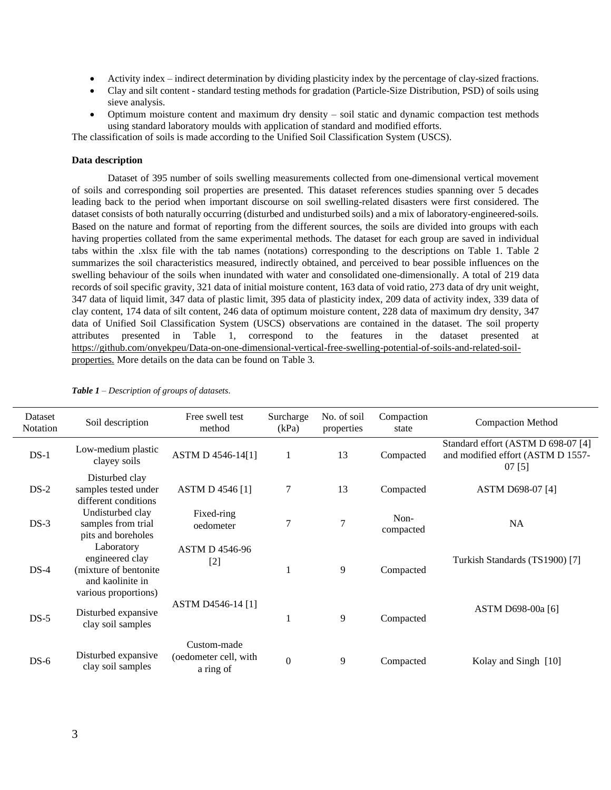- Activity index indirect determination by dividing plasticity index by the percentage of clay-sized fractions.
- Clay and silt content standard testing methods for gradation (Particle-Size Distribution, PSD) of soils using sieve analysis.
- Optimum moisture content and maximum dry density soil static and dynamic compaction test methods using standard laboratory moulds with application of standard and modified efforts.

The classification of soils is made according to the Unified Soil Classification System (USCS).

#### **Data description**

Dataset of 395 number of soils swelling measurements collected from one-dimensional vertical movement of soils and corresponding soil properties are presented. This dataset references studies spanning over 5 decades leading back to the period when important discourse on soil swelling-related disasters were first considered. The dataset consists of both naturally occurring (disturbed and undisturbed soils) and a mix of laboratory-engineered-soils. Based on the nature and format of reporting from the different sources, the soils are divided into groups with each having properties collated from the same experimental methods. The dataset for each group are saved in individual tabs within the .xlsx file with the tab names (notations) corresponding to the descriptions on Table 1. Table 2 summarizes the soil characteristics measured, indirectly obtained, and perceived to bear possible influences on the swelling behaviour of the soils when inundated with water and consolidated one-dimensionally. A total of 219 data records of soil specific gravity, 321 data of initial moisture content, 163 data of void ratio, 273 data of dry unit weight, 347 data of liquid limit, 347 data of plastic limit, 395 data of plasticity index, 209 data of activity index, 339 data of clay content, 174 data of silt content, 246 data of optimum moisture content, 228 data of maximum dry density, 347 data of Unified Soil Classification System (USCS) observations are contained in the dataset. The soil property attributes presented in Table 1, correspond to the features in the dataset presented at [https://github.com/onyekpeu/Data-on-one-dimensional-vertical-free-swelling-potential-of-soils-and-related-soil](https://github.com/onyekpeu/Data-on-one-dimensional-vertical-free-swelling-potential-of-soils-and-related-soil-properties.)[properties.](https://github.com/onyekpeu/Data-on-one-dimensional-vertical-free-swelling-potential-of-soils-and-related-soil-properties.) More details on the data can be found on Table 3.

| Dataset<br><b>Notation</b> | Soil description                                                           | Free swell test<br>method                         | Surcharge<br>(kPa) | No. of soil<br>properties | Compaction<br>state | <b>Compaction Method</b>                                                          |
|----------------------------|----------------------------------------------------------------------------|---------------------------------------------------|--------------------|---------------------------|---------------------|-----------------------------------------------------------------------------------|
| $DS-1$                     | Low-medium plastic<br>clayey soils                                         | ASTM D 4546-14[1]                                 |                    | 13                        | Compacted           | Standard effort (ASTM D 698-07 [4]<br>and modified effort (ASTM D 1557-<br>07 [5] |
| $DS-2$                     | Disturbed clay<br>samples tested under<br>different conditions             | ASTM D 4546 [1]                                   | 7                  | 13                        | Compacted           | ASTM D698-07 [4]                                                                  |
| $DS-3$                     | Undisturbed clay<br>samples from trial<br>pits and boreholes               | Fixed-ring<br>oedometer                           | 7                  | $\overline{7}$            | Non-<br>compacted   | <b>NA</b>                                                                         |
| $DS-4$                     | Laboratory<br>engineered clay<br>(mixture of bentonite<br>and kaolinite in | <b>ASTM D 4546-96</b><br>$[2]$                    |                    | 9                         | Compacted           | Turkish Standards (TS1900) [7]                                                    |
| $DS-5$                     | various proportions)<br>Disturbed expansive<br>clay soil samples           | <b>ASTM D4546-14 [1]</b>                          |                    | 9                         | Compacted           | ASTM D698-00a [6]                                                                 |
| $DS-6$                     | Disturbed expansive<br>clay soil samples                                   | Custom-made<br>(oedometer cell, with<br>a ring of | $\theta$           | 9                         | Compacted           | Kolay and Singh [10]                                                              |

| <b>Table 1</b> – Description of groups of datasets. |  |  |
|-----------------------------------------------------|--|--|
|-----------------------------------------------------|--|--|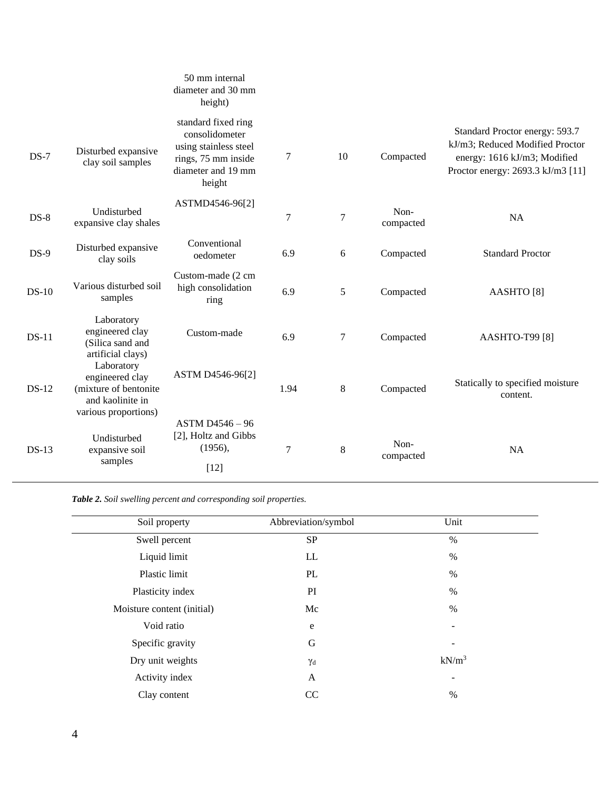|                                                                             | 50 mm internal<br>diameter and 30 mm<br>height)                                                                       |        |         |                   |                                                                                                                                        |
|-----------------------------------------------------------------------------|-----------------------------------------------------------------------------------------------------------------------|--------|---------|-------------------|----------------------------------------------------------------------------------------------------------------------------------------|
| Disturbed expansive<br>clay soil samples                                    | standard fixed ring<br>consolidometer<br>using stainless steel<br>rings, 75 mm inside<br>diameter and 19 mm<br>height | 7      | 10      | Compacted         | Standard Proctor energy: 593.7<br>kJ/m3; Reduced Modified Proctor<br>energy: 1616 kJ/m3; Modified<br>Proctor energy: 2693.3 kJ/m3 [11] |
| Undisturbed<br>expansive clay shales                                        | ASTMD4546-96[2]                                                                                                       | 7      | $\tau$  | Non-<br>compacted | <b>NA</b>                                                                                                                              |
| Disturbed expansive<br>clay soils                                           | Conventional<br>oedometer                                                                                             | 6.9    | 6       | Compacted         | <b>Standard Proctor</b>                                                                                                                |
| Various disturbed soil<br>samples                                           | Custom-made (2 cm<br>high consolidation<br>ring                                                                       | 6.9    | 5       | Compacted         | AASHTO [8]                                                                                                                             |
| Laboratory<br>engineered clay<br>(Silica sand and                           | Custom-made                                                                                                           | 6.9    | 7       | Compacted         | AASHTO-T99 [8]                                                                                                                         |
| Laboratory<br>engineered clay<br>(mixture of bentonite)<br>and kaolinite in | ASTM D4546-96[2]                                                                                                      | 1.94   | $\,8\,$ | Compacted         | Statically to specified moisture<br>content.                                                                                           |
| Undisturbed<br>expansive soil<br>samples                                    | ASTM D4546 - 96<br>[2], Holtz and Gibbs<br>(1956),<br>$[12]$                                                          | $\tau$ | $8\,$   | Non-<br>compacted | <b>NA</b>                                                                                                                              |
|                                                                             | artificial clays)<br>various proportions)                                                                             |        |         |                   |                                                                                                                                        |

*Table 2. Soil swelling percent and corresponding soil properties.*

| Soil property              | Abbreviation/symbol | Unit     |  |
|----------------------------|---------------------|----------|--|
| Swell percent              | <b>SP</b>           | $\%$     |  |
| Liquid limit               | LL                  | $\%$     |  |
| Plastic limit              | PL                  | $\%$     |  |
| Plasticity index           | PI                  | $\%$     |  |
| Moisture content (initial) | Mc                  | $\%$     |  |
| Void ratio                 | $\mathbf e$         |          |  |
| Specific gravity           | G                   |          |  |
| Dry unit weights           | $\gamma_d$          | $kN/m^3$ |  |
| Activity index             | A                   | -        |  |
| Clay content               | <sub>CC</sub>       | $\%$     |  |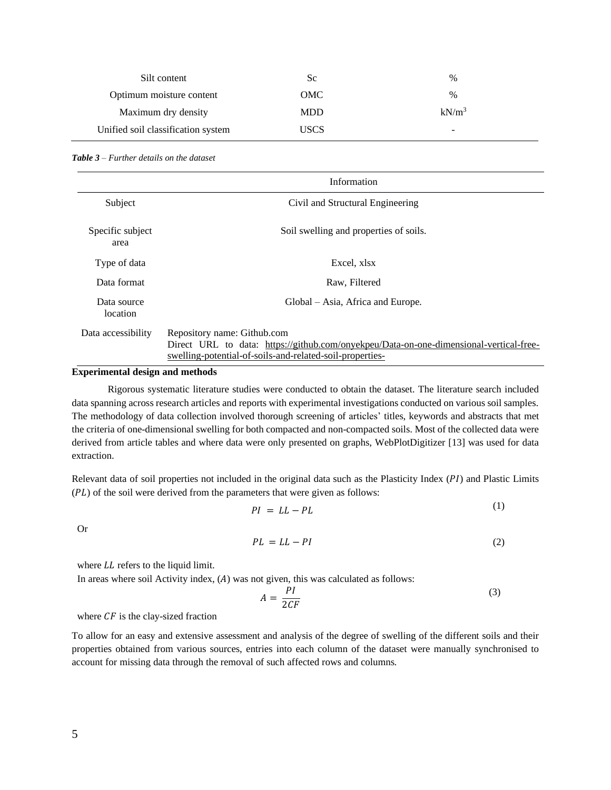| Silt content                       | Sc          | $\%$     |
|------------------------------------|-------------|----------|
| Optimum moisture content           | OMC         | $\%$     |
| Maximum dry density                | <b>MDD</b>  | $kN/m^3$ |
| Unified soil classification system | <b>USCS</b> | -        |

|                          | Information                                                                                                                                                                       |
|--------------------------|-----------------------------------------------------------------------------------------------------------------------------------------------------------------------------------|
| Subject                  | Civil and Structural Engineering                                                                                                                                                  |
| Specific subject<br>area | Soil swelling and properties of soils.                                                                                                                                            |
| Type of data             | Excel, xlsx                                                                                                                                                                       |
| Data format              | Raw, Filtered                                                                                                                                                                     |
| Data source<br>location  | Global – Asia, Africa and Europe.                                                                                                                                                 |
| Data accessibility       | Repository name: Github.com<br>Direct URL to data: https://github.com/onyekpeu/Data-on-one-dimensional-vertical-free-<br>swelling-potential-of-soils-and-related-soil-properties- |

## **Experimental design and methods**

Rigorous systematic literature studies were conducted to obtain the dataset. The literature search included data spanning across research articles and reports with experimental investigations conducted on various soil samples. The methodology of data collection involved thorough screening of articles' titles, keywords and abstracts that met the criteria of one-dimensional swelling for both compacted and non-compacted soils. Most of the collected data were derived from article tables and where data were only presented on graphs, WebPlotDigitizer [13] was used for data extraction.

Relevant data of soil properties not included in the original data such as the Plasticity Index ( $PI$ ) and Plastic Limits  $(PL)$  of the soil were derived from the parameters that were given as follows:

$$
PI = LL - PL \tag{1}
$$

Or

$$
PL = LL - PI \tag{2}
$$

where  $LL$  refers to the liquid limit.

In areas where soil Activity index,  $(A)$  was not given, this was calculated as follows:

$$
A = \frac{PI}{2CF} \tag{3}
$$

where  $CF$  is the clay-sized fraction

To allow for an easy and extensive assessment and analysis of the degree of swelling of the different soils and their properties obtained from various sources, entries into each column of the dataset were manually synchronised to account for missing data through the removal of such affected rows and columns.